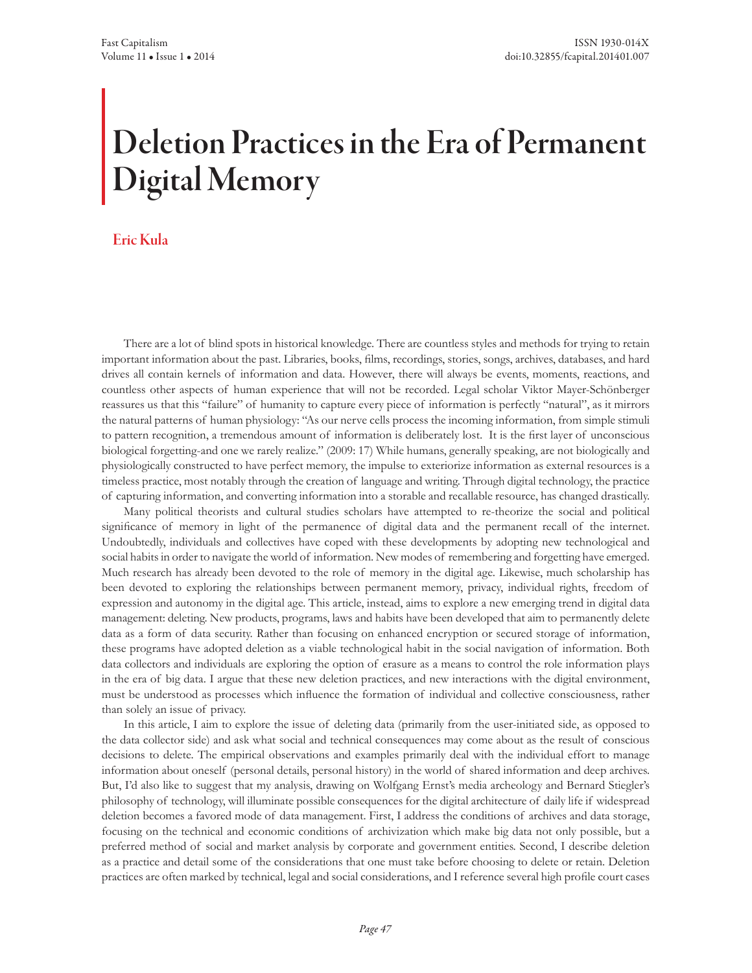# Deletion Practices in the Era of Permanent Digital Memory

## Eric Kula

There are a lot of blind spots in historical knowledge. There are countless styles and methods for trying to retain important information about the past. Libraries, books, films, recordings, stories, songs, archives, databases, and hard drives all contain kernels of information and data. However, there will always be events, moments, reactions, and countless other aspects of human experience that will not be recorded. Legal scholar Viktor Mayer-Schönberger reassures us that this "failure" of humanity to capture every piece of information is perfectly "natural", as it mirrors the natural patterns of human physiology: "As our nerve cells process the incoming information, from simple stimuli to pattern recognition, a tremendous amount of information is deliberately lost. It is the first layer of unconscious biological forgetting-and one we rarely realize." (2009: 17) While humans, generally speaking, are not biologically and physiologically constructed to have perfect memory, the impulse to exteriorize information as external resources is a timeless practice, most notably through the creation of language and writing. Through digital technology, the practice of capturing information, and converting information into a storable and recallable resource, has changed drastically.

Many political theorists and cultural studies scholars have attempted to re-theorize the social and political significance of memory in light of the permanence of digital data and the permanent recall of the internet. Undoubtedly, individuals and collectives have coped with these developments by adopting new technological and social habits in order to navigate the world of information. New modes of remembering and forgetting have emerged. Much research has already been devoted to the role of memory in the digital age. Likewise, much scholarship has been devoted to exploring the relationships between permanent memory, privacy, individual rights, freedom of expression and autonomy in the digital age. This article, instead, aims to explore a new emerging trend in digital data management: deleting. New products, programs, laws and habits have been developed that aim to permanently delete data as a form of data security. Rather than focusing on enhanced encryption or secured storage of information, these programs have adopted deletion as a viable technological habit in the social navigation of information. Both data collectors and individuals are exploring the option of erasure as a means to control the role information plays in the era of big data. I argue that these new deletion practices, and new interactions with the digital environment, must be understood as processes which influence the formation of individual and collective consciousness, rather than solely an issue of privacy.

In this article, I aim to explore the issue of deleting data (primarily from the user-initiated side, as opposed to the data collector side) and ask what social and technical consequences may come about as the result of conscious decisions to delete. The empirical observations and examples primarily deal with the individual effort to manage information about oneself (personal details, personal history) in the world of shared information and deep archives. But, I'd also like to suggest that my analysis, drawing on Wolfgang Ernst's media archeology and Bernard Stiegler's philosophy of technology, will illuminate possible consequences for the digital architecture of daily life if widespread deletion becomes a favored mode of data management. First, I address the conditions of archives and data storage, focusing on the technical and economic conditions of archivization which make big data not only possible, but a preferred method of social and market analysis by corporate and government entities. Second, I describe deletion as a practice and detail some of the considerations that one must take before choosing to delete or retain. Deletion practices are often marked by technical, legal and social considerations, and I reference several high profile court cases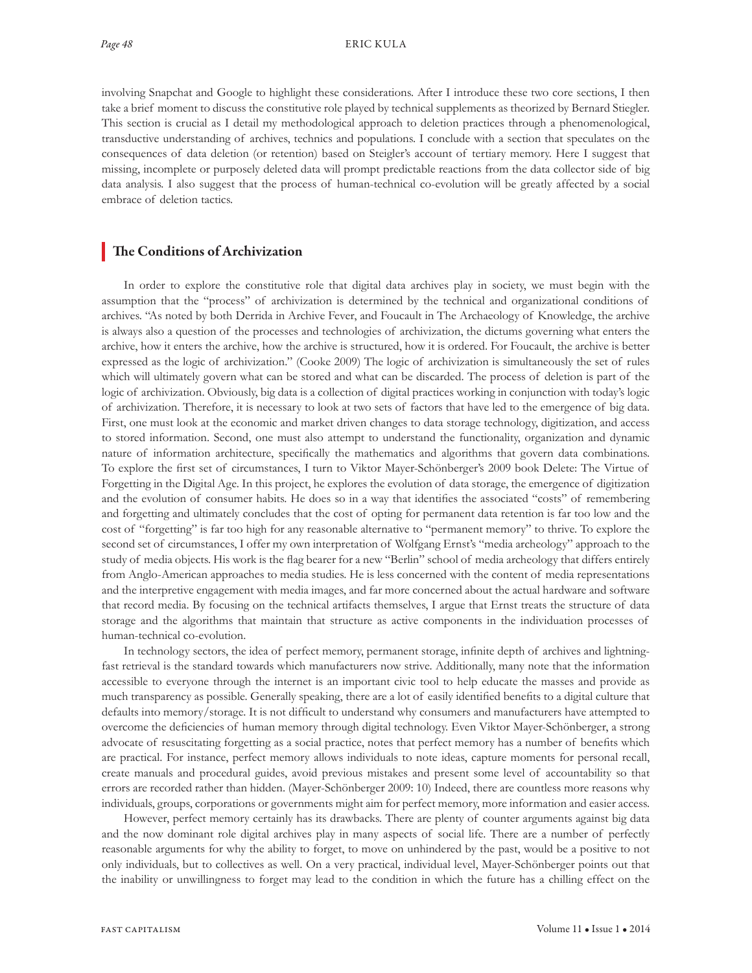involving Snapchat and Google to highlight these considerations. After I introduce these two core sections, I then take a brief moment to discuss the constitutive role played by technical supplements as theorized by Bernard Stiegler. This section is crucial as I detail my methodological approach to deletion practices through a phenomenological, transductive understanding of archives, technics and populations. I conclude with a section that speculates on the consequences of data deletion (or retention) based on Steigler's account of tertiary memory. Here I suggest that missing, incomplete or purposely deleted data will prompt predictable reactions from the data collector side of big data analysis. I also suggest that the process of human-technical co-evolution will be greatly affected by a social embrace of deletion tactics.

## The Conditions of Archivization

In order to explore the constitutive role that digital data archives play in society, we must begin with the assumption that the "process" of archivization is determined by the technical and organizational conditions of archives. "As noted by both Derrida in Archive Fever, and Foucault in The Archaeology of Knowledge, the archive is always also a question of the processes and technologies of archivization, the dictums governing what enters the archive, how it enters the archive, how the archive is structured, how it is ordered. For Foucault, the archive is better expressed as the logic of archivization." (Cooke 2009) The logic of archivization is simultaneously the set of rules which will ultimately govern what can be stored and what can be discarded. The process of deletion is part of the logic of archivization. Obviously, big data is a collection of digital practices working in conjunction with today's logic of archivization. Therefore, it is necessary to look at two sets of factors that have led to the emergence of big data. First, one must look at the economic and market driven changes to data storage technology, digitization, and access to stored information. Second, one must also attempt to understand the functionality, organization and dynamic nature of information architecture, specifically the mathematics and algorithms that govern data combinations. To explore the first set of circumstances, I turn to Viktor Mayer-Schönberger's 2009 book Delete: The Virtue of Forgetting in the Digital Age. In this project, he explores the evolution of data storage, the emergence of digitization and the evolution of consumer habits. He does so in a way that identifies the associated "costs" of remembering and forgetting and ultimately concludes that the cost of opting for permanent data retention is far too low and the cost of "forgetting" is far too high for any reasonable alternative to "permanent memory" to thrive. To explore the second set of circumstances, I offer my own interpretation of Wolfgang Ernst's "media archeology" approach to the study of media objects. His work is the flag bearer for a new "Berlin" school of media archeology that differs entirely from Anglo-American approaches to media studies. He is less concerned with the content of media representations and the interpretive engagement with media images, and far more concerned about the actual hardware and software that record media. By focusing on the technical artifacts themselves, I argue that Ernst treats the structure of data storage and the algorithms that maintain that structure as active components in the individuation processes of human-technical co-evolution.

In technology sectors, the idea of perfect memory, permanent storage, infinite depth of archives and lightningfast retrieval is the standard towards which manufacturers now strive. Additionally, many note that the information accessible to everyone through the internet is an important civic tool to help educate the masses and provide as much transparency as possible. Generally speaking, there are a lot of easily identified benefits to a digital culture that defaults into memory/storage. It is not difficult to understand why consumers and manufacturers have attempted to overcome the deficiencies of human memory through digital technology. Even Viktor Mayer-Schönberger, a strong advocate of resuscitating forgetting as a social practice, notes that perfect memory has a number of benefits which are practical. For instance, perfect memory allows individuals to note ideas, capture moments for personal recall, create manuals and procedural guides, avoid previous mistakes and present some level of accountability so that errors are recorded rather than hidden. (Mayer-Schönberger 2009: 10) Indeed, there are countless more reasons why individuals, groups, corporations or governments might aim for perfect memory, more information and easier access.

However, perfect memory certainly has its drawbacks. There are plenty of counter arguments against big data and the now dominant role digital archives play in many aspects of social life. There are a number of perfectly reasonable arguments for why the ability to forget, to move on unhindered by the past, would be a positive to not only individuals, but to collectives as well. On a very practical, individual level, Mayer-Schönberger points out that the inability or unwillingness to forget may lead to the condition in which the future has a chilling effect on the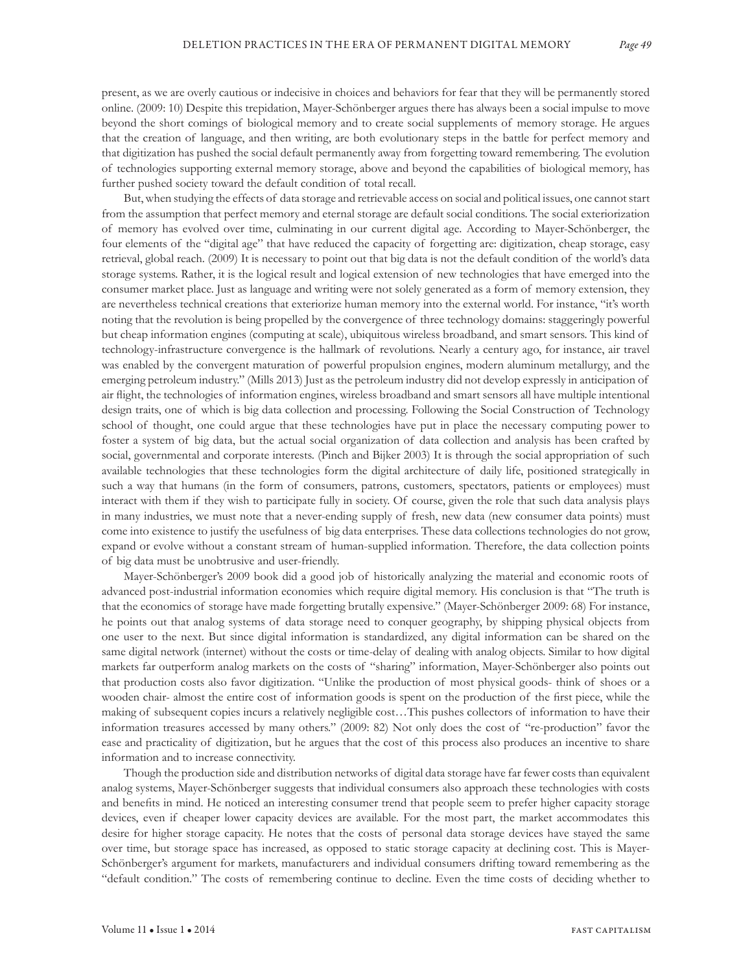present, as we are overly cautious or indecisive in choices and behaviors for fear that they will be permanently stored online. (2009: 10) Despite this trepidation, Mayer-Schönberger argues there has always been a social impulse to move beyond the short comings of biological memory and to create social supplements of memory storage. He argues that the creation of language, and then writing, are both evolutionary steps in the battle for perfect memory and that digitization has pushed the social default permanently away from forgetting toward remembering. The evolution of technologies supporting external memory storage, above and beyond the capabilities of biological memory, has further pushed society toward the default condition of total recall.

But, when studying the effects of data storage and retrievable access on social and political issues, one cannot start from the assumption that perfect memory and eternal storage are default social conditions. The social exteriorization of memory has evolved over time, culminating in our current digital age. According to Mayer-Schönberger, the four elements of the "digital age" that have reduced the capacity of forgetting are: digitization, cheap storage, easy retrieval, global reach. (2009) It is necessary to point out that big data is not the default condition of the world's data storage systems. Rather, it is the logical result and logical extension of new technologies that have emerged into the consumer market place. Just as language and writing were not solely generated as a form of memory extension, they are nevertheless technical creations that exteriorize human memory into the external world. For instance, "it's worth noting that the revolution is being propelled by the convergence of three technology domains: staggeringly powerful but cheap information engines (computing at scale), ubiquitous wireless broadband, and smart sensors. This kind of technology-infrastructure convergence is the hallmark of revolutions. Nearly a century ago, for instance, air travel was enabled by the convergent maturation of powerful propulsion engines, modern aluminum metallurgy, and the emerging petroleum industry." (Mills 2013) Just as the petroleum industry did not develop expressly in anticipation of air flight, the technologies of information engines, wireless broadband and smart sensors all have multiple intentional design traits, one of which is big data collection and processing. Following the Social Construction of Technology school of thought, one could argue that these technologies have put in place the necessary computing power to foster a system of big data, but the actual social organization of data collection and analysis has been crafted by social, governmental and corporate interests. (Pinch and Bijker 2003) It is through the social appropriation of such available technologies that these technologies form the digital architecture of daily life, positioned strategically in such a way that humans (in the form of consumers, patrons, customers, spectators, patients or employees) must interact with them if they wish to participate fully in society. Of course, given the role that such data analysis plays in many industries, we must note that a never-ending supply of fresh, new data (new consumer data points) must come into existence to justify the usefulness of big data enterprises. These data collections technologies do not grow, expand or evolve without a constant stream of human-supplied information. Therefore, the data collection points of big data must be unobtrusive and user-friendly.

Mayer-Schönberger's 2009 book did a good job of historically analyzing the material and economic roots of advanced post-industrial information economies which require digital memory. His conclusion is that "The truth is that the economics of storage have made forgetting brutally expensive." (Mayer-Schönberger 2009: 68) For instance, he points out that analog systems of data storage need to conquer geography, by shipping physical objects from one user to the next. But since digital information is standardized, any digital information can be shared on the same digital network (internet) without the costs or time-delay of dealing with analog objects. Similar to how digital markets far outperform analog markets on the costs of "sharing" information, Mayer-Schönberger also points out that production costs also favor digitization. "Unlike the production of most physical goods- think of shoes or a wooden chair- almost the entire cost of information goods is spent on the production of the first piece, while the making of subsequent copies incurs a relatively negligible cost…This pushes collectors of information to have their information treasures accessed by many others." (2009: 82) Not only does the cost of "re-production" favor the ease and practicality of digitization, but he argues that the cost of this process also produces an incentive to share information and to increase connectivity.

Though the production side and distribution networks of digital data storage have far fewer costs than equivalent analog systems, Mayer-Schönberger suggests that individual consumers also approach these technologies with costs and benefits in mind. He noticed an interesting consumer trend that people seem to prefer higher capacity storage devices, even if cheaper lower capacity devices are available. For the most part, the market accommodates this desire for higher storage capacity. He notes that the costs of personal data storage devices have stayed the same over time, but storage space has increased, as opposed to static storage capacity at declining cost. This is Mayer-Schönberger's argument for markets, manufacturers and individual consumers drifting toward remembering as the "default condition." The costs of remembering continue to decline. Even the time costs of deciding whether to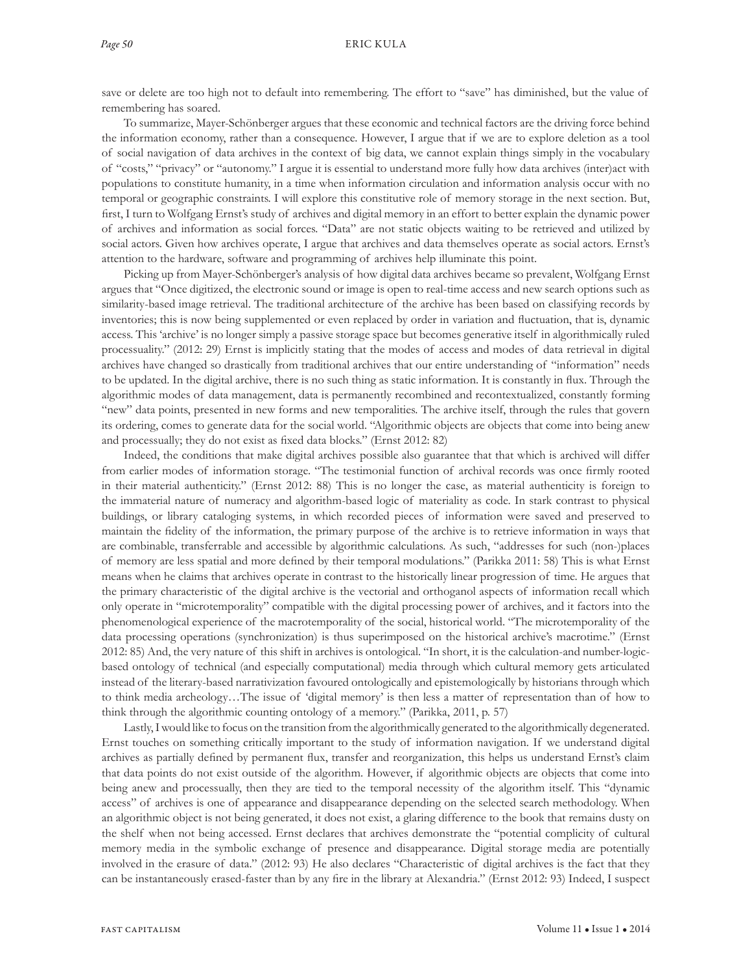save or delete are too high not to default into remembering. The effort to "save" has diminished, but the value of remembering has soared.

To summarize, Mayer-Schönberger argues that these economic and technical factors are the driving force behind the information economy, rather than a consequence. However, I argue that if we are to explore deletion as a tool of social navigation of data archives in the context of big data, we cannot explain things simply in the vocabulary of "costs," "privacy" or "autonomy." I argue it is essential to understand more fully how data archives (inter)act with populations to constitute humanity, in a time when information circulation and information analysis occur with no temporal or geographic constraints. I will explore this constitutive role of memory storage in the next section. But, first, I turn to Wolfgang Ernst's study of archives and digital memory in an effort to better explain the dynamic power of archives and information as social forces. "Data" are not static objects waiting to be retrieved and utilized by social actors. Given how archives operate, I argue that archives and data themselves operate as social actors. Ernst's attention to the hardware, software and programming of archives help illuminate this point.

Picking up from Mayer-Schönberger's analysis of how digital data archives became so prevalent, Wolfgang Ernst argues that "Once digitized, the electronic sound or image is open to real-time access and new search options such as similarity-based image retrieval. The traditional architecture of the archive has been based on classifying records by inventories; this is now being supplemented or even replaced by order in variation and fluctuation, that is, dynamic access. This 'archive' is no longer simply a passive storage space but becomes generative itself in algorithmically ruled processuality." (2012: 29) Ernst is implicitly stating that the modes of access and modes of data retrieval in digital archives have changed so drastically from traditional archives that our entire understanding of "information" needs to be updated. In the digital archive, there is no such thing as static information. It is constantly in flux. Through the algorithmic modes of data management, data is permanently recombined and recontextualized, constantly forming "new" data points, presented in new forms and new temporalities. The archive itself, through the rules that govern its ordering, comes to generate data for the social world. "Algorithmic objects are objects that come into being anew and processually; they do not exist as fixed data blocks." (Ernst 2012: 82)

Indeed, the conditions that make digital archives possible also guarantee that that which is archived will differ from earlier modes of information storage. "The testimonial function of archival records was once firmly rooted in their material authenticity." (Ernst 2012: 88) This is no longer the case, as material authenticity is foreign to the immaterial nature of numeracy and algorithm-based logic of materiality as code. In stark contrast to physical buildings, or library cataloging systems, in which recorded pieces of information were saved and preserved to maintain the fidelity of the information, the primary purpose of the archive is to retrieve information in ways that are combinable, transferrable and accessible by algorithmic calculations. As such, "addresses for such (non-)places of memory are less spatial and more defined by their temporal modulations." (Parikka 2011: 58) This is what Ernst means when he claims that archives operate in contrast to the historically linear progression of time. He argues that the primary characteristic of the digital archive is the vectorial and orthoganol aspects of information recall which only operate in "microtemporality" compatible with the digital processing power of archives, and it factors into the phenomenological experience of the macrotemporality of the social, historical world. "The microtemporality of the data processing operations (synchronization) is thus superimposed on the historical archive's macrotime." (Ernst 2012: 85) And, the very nature of this shift in archives is ontological. "In short, it is the calculation-and number-logicbased ontology of technical (and especially computational) media through which cultural memory gets articulated instead of the literary-based narrativization favoured ontologically and epistemologically by historians through which to think media archeology…The issue of 'digital memory' is then less a matter of representation than of how to think through the algorithmic counting ontology of a memory." (Parikka, 2011, p. 57)

Lastly, I would like to focus on the transition from the algorithmically generated to the algorithmically degenerated. Ernst touches on something critically important to the study of information navigation. If we understand digital archives as partially defined by permanent flux, transfer and reorganization, this helps us understand Ernst's claim that data points do not exist outside of the algorithm. However, if algorithmic objects are objects that come into being anew and processually, then they are tied to the temporal necessity of the algorithm itself. This "dynamic access" of archives is one of appearance and disappearance depending on the selected search methodology. When an algorithmic object is not being generated, it does not exist, a glaring difference to the book that remains dusty on the shelf when not being accessed. Ernst declares that archives demonstrate the "potential complicity of cultural memory media in the symbolic exchange of presence and disappearance. Digital storage media are potentially involved in the erasure of data." (2012: 93) He also declares "Characteristic of digital archives is the fact that they can be instantaneously erased-faster than by any fire in the library at Alexandria." (Ernst 2012: 93) Indeed, I suspect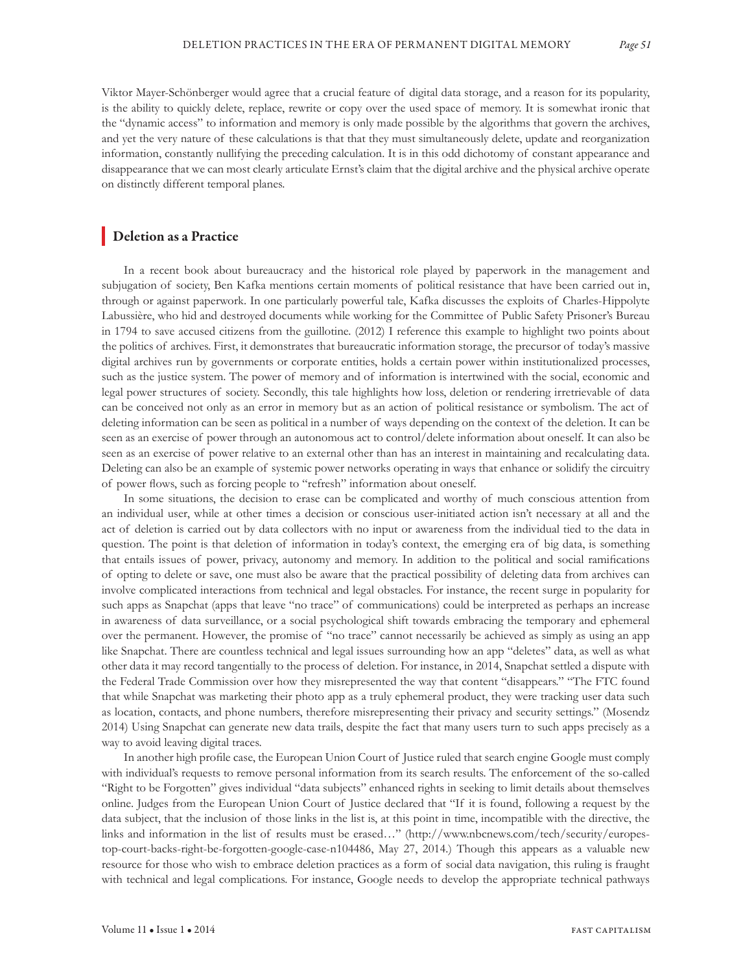Viktor Mayer-Schönberger would agree that a crucial feature of digital data storage, and a reason for its popularity, is the ability to quickly delete, replace, rewrite or copy over the used space of memory. It is somewhat ironic that the "dynamic access" to information and memory is only made possible by the algorithms that govern the archives, and yet the very nature of these calculations is that that they must simultaneously delete, update and reorganization information, constantly nullifying the preceding calculation. It is in this odd dichotomy of constant appearance and disappearance that we can most clearly articulate Ernst's claim that the digital archive and the physical archive operate on distinctly different temporal planes.

#### Deletion as a Practice

In a recent book about bureaucracy and the historical role played by paperwork in the management and subjugation of society, Ben Kafka mentions certain moments of political resistance that have been carried out in, through or against paperwork. In one particularly powerful tale, Kafka discusses the exploits of Charles-Hippolyte Labussière, who hid and destroyed documents while working for the Committee of Public Safety Prisoner's Bureau in 1794 to save accused citizens from the guillotine. (2012) I reference this example to highlight two points about the politics of archives. First, it demonstrates that bureaucratic information storage, the precursor of today's massive digital archives run by governments or corporate entities, holds a certain power within institutionalized processes, such as the justice system. The power of memory and of information is intertwined with the social, economic and legal power structures of society. Secondly, this tale highlights how loss, deletion or rendering irretrievable of data can be conceived not only as an error in memory but as an action of political resistance or symbolism. The act of deleting information can be seen as political in a number of ways depending on the context of the deletion. It can be seen as an exercise of power through an autonomous act to control/delete information about oneself. It can also be seen as an exercise of power relative to an external other than has an interest in maintaining and recalculating data. Deleting can also be an example of systemic power networks operating in ways that enhance or solidify the circuitry of power flows, such as forcing people to "refresh" information about oneself.

In some situations, the decision to erase can be complicated and worthy of much conscious attention from an individual user, while at other times a decision or conscious user-initiated action isn't necessary at all and the act of deletion is carried out by data collectors with no input or awareness from the individual tied to the data in question. The point is that deletion of information in today's context, the emerging era of big data, is something that entails issues of power, privacy, autonomy and memory. In addition to the political and social ramifications of opting to delete or save, one must also be aware that the practical possibility of deleting data from archives can involve complicated interactions from technical and legal obstacles. For instance, the recent surge in popularity for such apps as Snapchat (apps that leave "no trace" of communications) could be interpreted as perhaps an increase in awareness of data surveillance, or a social psychological shift towards embracing the temporary and ephemeral over the permanent. However, the promise of "no trace" cannot necessarily be achieved as simply as using an app like Snapchat. There are countless technical and legal issues surrounding how an app "deletes" data, as well as what other data it may record tangentially to the process of deletion. For instance, in 2014, Snapchat settled a dispute with the Federal Trade Commission over how they misrepresented the way that content "disappears." "The FTC found that while Snapchat was marketing their photo app as a truly ephemeral product, they were tracking user data such as location, contacts, and phone numbers, therefore misrepresenting their privacy and security settings." (Mosendz 2014) Using Snapchat can generate new data trails, despite the fact that many users turn to such apps precisely as a way to avoid leaving digital traces.

In another high profile case, the European Union Court of Justice ruled that search engine Google must comply with individual's requests to remove personal information from its search results. The enforcement of the so-called "Right to be Forgotten" gives individual "data subjects" enhanced rights in seeking to limit details about themselves online. Judges from the European Union Court of Justice declared that "If it is found, following a request by the data subject, that the inclusion of those links in the list is, at this point in time, incompatible with the directive, the links and information in the list of results must be erased…" (http://www.nbcnews.com/tech/security/europestop-court-backs-right-be-forgotten-google-case-n104486, May 27, 2014.) Though this appears as a valuable new resource for those who wish to embrace deletion practices as a form of social data navigation, this ruling is fraught with technical and legal complications. For instance, Google needs to develop the appropriate technical pathways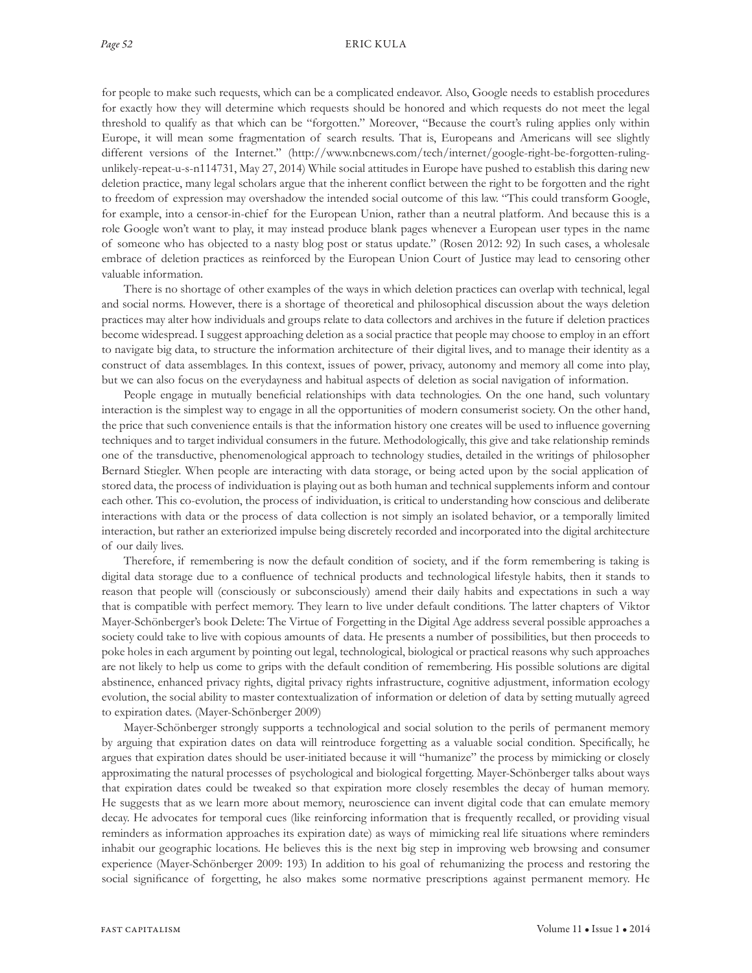for people to make such requests, which can be a complicated endeavor. Also, Google needs to establish procedures for exactly how they will determine which requests should be honored and which requests do not meet the legal threshold to qualify as that which can be "forgotten." Moreover, "Because the court's ruling applies only within Europe, it will mean some fragmentation of search results. That is, Europeans and Americans will see slightly different versions of the Internet." (http://www.nbcnews.com/tech/internet/google-right-be-forgotten-rulingunlikely-repeat-u-s-n114731, May 27, 2014) While social attitudes in Europe have pushed to establish this daring new deletion practice, many legal scholars argue that the inherent conflict between the right to be forgotten and the right to freedom of expression may overshadow the intended social outcome of this law. "This could transform Google, for example, into a censor-in-chief for the European Union, rather than a neutral platform. And because this is a role Google won't want to play, it may instead produce blank pages whenever a European user types in the name of someone who has objected to a nasty blog post or status update." (Rosen 2012: 92) In such cases, a wholesale embrace of deletion practices as reinforced by the European Union Court of Justice may lead to censoring other valuable information.

There is no shortage of other examples of the ways in which deletion practices can overlap with technical, legal and social norms. However, there is a shortage of theoretical and philosophical discussion about the ways deletion practices may alter how individuals and groups relate to data collectors and archives in the future if deletion practices become widespread. I suggest approaching deletion as a social practice that people may choose to employ in an effort to navigate big data, to structure the information architecture of their digital lives, and to manage their identity as a construct of data assemblages. In this context, issues of power, privacy, autonomy and memory all come into play, but we can also focus on the everydayness and habitual aspects of deletion as social navigation of information.

People engage in mutually beneficial relationships with data technologies. On the one hand, such voluntary interaction is the simplest way to engage in all the opportunities of modern consumerist society. On the other hand, the price that such convenience entails is that the information history one creates will be used to influence governing techniques and to target individual consumers in the future. Methodologically, this give and take relationship reminds one of the transductive, phenomenological approach to technology studies, detailed in the writings of philosopher Bernard Stiegler. When people are interacting with data storage, or being acted upon by the social application of stored data, the process of individuation is playing out as both human and technical supplements inform and contour each other. This co-evolution, the process of individuation, is critical to understanding how conscious and deliberate interactions with data or the process of data collection is not simply an isolated behavior, or a temporally limited interaction, but rather an exteriorized impulse being discretely recorded and incorporated into the digital architecture of our daily lives.

Therefore, if remembering is now the default condition of society, and if the form remembering is taking is digital data storage due to a confluence of technical products and technological lifestyle habits, then it stands to reason that people will (consciously or subconsciously) amend their daily habits and expectations in such a way that is compatible with perfect memory. They learn to live under default conditions. The latter chapters of Viktor Mayer-Schönberger's book Delete: The Virtue of Forgetting in the Digital Age address several possible approaches a society could take to live with copious amounts of data. He presents a number of possibilities, but then proceeds to poke holes in each argument by pointing out legal, technological, biological or practical reasons why such approaches are not likely to help us come to grips with the default condition of remembering. His possible solutions are digital abstinence, enhanced privacy rights, digital privacy rights infrastructure, cognitive adjustment, information ecology evolution, the social ability to master contextualization of information or deletion of data by setting mutually agreed to expiration dates. (Mayer-Schönberger 2009)

Mayer-Schönberger strongly supports a technological and social solution to the perils of permanent memory by arguing that expiration dates on data will reintroduce forgetting as a valuable social condition. Specifically, he argues that expiration dates should be user-initiated because it will "humanize" the process by mimicking or closely approximating the natural processes of psychological and biological forgetting. Mayer-Schönberger talks about ways that expiration dates could be tweaked so that expiration more closely resembles the decay of human memory. He suggests that as we learn more about memory, neuroscience can invent digital code that can emulate memory decay. He advocates for temporal cues (like reinforcing information that is frequently recalled, or providing visual reminders as information approaches its expiration date) as ways of mimicking real life situations where reminders inhabit our geographic locations. He believes this is the next big step in improving web browsing and consumer experience (Mayer-Schönberger 2009: 193) In addition to his goal of rehumanizing the process and restoring the social significance of forgetting, he also makes some normative prescriptions against permanent memory. He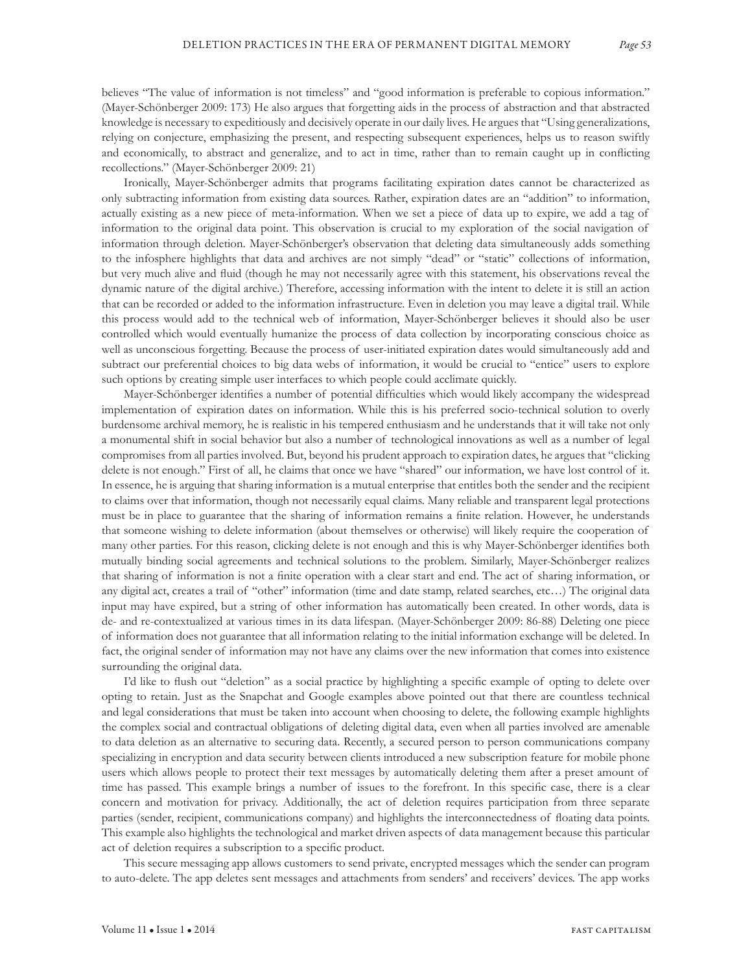believes "The value of information is not timeless" and "good information is preferable to copious information." (Mayer-Schönberger 2009: 173) He also argues that forgetting aids in the process of abstraction and that abstracted knowledge is necessary to expeditiously and decisively operate in our daily lives. He argues that "Using generalizations, relying on conjecture, emphasizing the present, and respecting subsequent experiences, helps us to reason swiftly and economically, to abstract and generalize, and to act in time, rather than to remain caught up in conflicting recollections." (Mayer-Schönberger 2009: 21)

Ironically, Mayer-Schönberger admits that programs facilitating expiration dates cannot be characterized as only subtracting information from existing data sources. Rather, expiration dates are an "addition" to information, actually existing as a new piece of meta-information. When we set a piece of data up to expire, we add a tag of information to the original data point. This observation is crucial to my exploration of the social navigation of information through deletion. Mayer-Schönberger's observation that deleting data simultaneously adds something to the infosphere highlights that data and archives are not simply "dead" or "static" collections of information, but very much alive and fluid (though he may not necessarily agree with this statement, his observations reveal the dynamic nature of the digital archive.) Therefore, accessing information with the intent to delete it is still an action that can be recorded or added to the information infrastructure. Even in deletion you may leave a digital trail. While this process would add to the technical web of information, Mayer-Schönberger believes it should also be user controlled which would eventually humanize the process of data collection by incorporating conscious choice as well as unconscious forgetting. Because the process of user-initiated expiration dates would simultaneously add and subtract our preferential choices to big data webs of information, it would be crucial to "entice" users to explore such options by creating simple user interfaces to which people could acclimate quickly.

Mayer-Schönberger identifies a number of potential difficulties which would likely accompany the widespread implementation of expiration dates on information. While this is his preferred socio-technical solution to overly burdensome archival memory, he is realistic in his tempered enthusiasm and he understands that it will take not only a monumental shift in social behavior but also a number of technological innovations as well as a number of legal compromises from all parties involved. But, beyond his prudent approach to expiration dates, he argues that "clicking delete is not enough." First of all, he claims that once we have "shared" our information, we have lost control of it. In essence, he is arguing that sharing information is a mutual enterprise that entitles both the sender and the recipient to claims over that information, though not necessarily equal claims. Many reliable and transparent legal protections must be in place to guarantee that the sharing of information remains a finite relation. However, he understands that someone wishing to delete information (about themselves or otherwise) will likely require the cooperation of many other parties. For this reason, clicking delete is not enough and this is why Mayer-Schönberger identifies both mutually binding social agreements and technical solutions to the problem. Similarly, Mayer-Schönberger realizes that sharing of information is not a finite operation with a clear start and end. The act of sharing information, or any digital act, creates a trail of "other" information (time and date stamp, related searches, etc…) The original data input may have expired, but a string of other information has automatically been created. In other words, data is de- and re-contextualized at various times in its data lifespan. (Mayer-Schönberger 2009: 86-88) Deleting one piece of information does not guarantee that all information relating to the initial information exchange will be deleted. In fact, the original sender of information may not have any claims over the new information that comes into existence surrounding the original data.

I'd like to flush out "deletion" as a social practice by highlighting a specific example of opting to delete over opting to retain. Just as the Snapchat and Google examples above pointed out that there are countless technical and legal considerations that must be taken into account when choosing to delete, the following example highlights the complex social and contractual obligations of deleting digital data, even when all parties involved are amenable to data deletion as an alternative to securing data. Recently, a secured person to person communications company specializing in encryption and data security between clients introduced a new subscription feature for mobile phone users which allows people to protect their text messages by automatically deleting them after a preset amount of time has passed. This example brings a number of issues to the forefront. In this specific case, there is a clear concern and motivation for privacy. Additionally, the act of deletion requires participation from three separate parties (sender, recipient, communications company) and highlights the interconnectedness of floating data points. This example also highlights the technological and market driven aspects of data management because this particular act of deletion requires a subscription to a specific product.

This secure messaging app allows customers to send private, encrypted messages which the sender can program to auto-delete. The app deletes sent messages and attachments from senders' and receivers' devices. The app works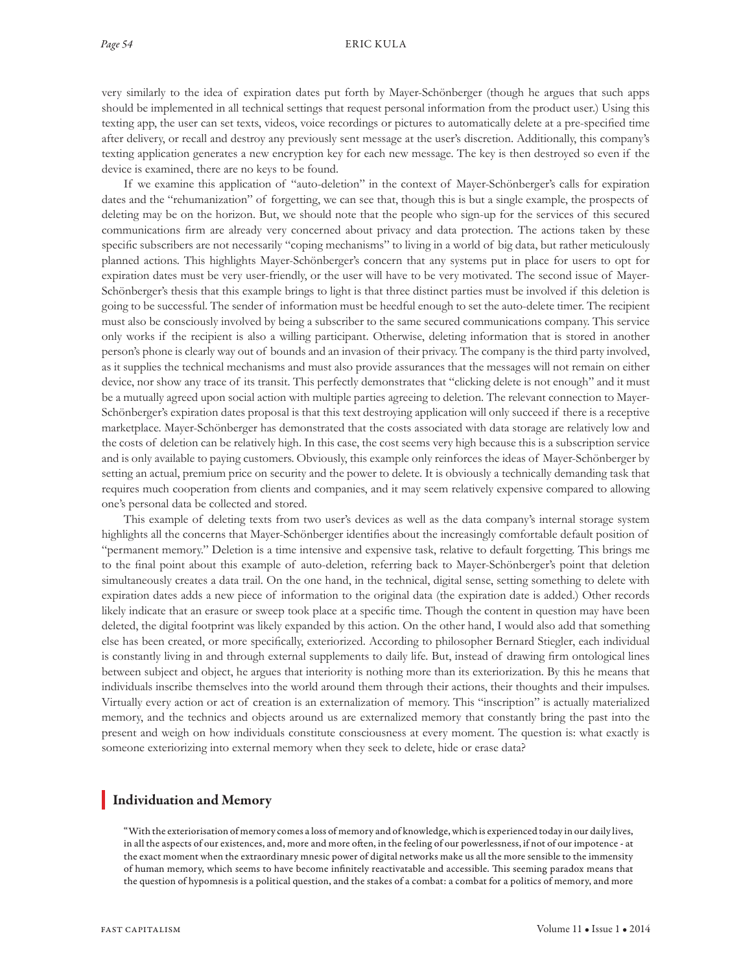very similarly to the idea of expiration dates put forth by Mayer-Schönberger (though he argues that such apps should be implemented in all technical settings that request personal information from the product user.) Using this texting app, the user can set texts, videos, voice recordings or pictures to automatically delete at a pre-specified time after delivery, or recall and destroy any previously sent message at the user's discretion. Additionally, this company's texting application generates a new encryption key for each new message. The key is then destroyed so even if the device is examined, there are no keys to be found.

If we examine this application of "auto-deletion" in the context of Mayer-Schönberger's calls for expiration dates and the "rehumanization" of forgetting, we can see that, though this is but a single example, the prospects of deleting may be on the horizon. But, we should note that the people who sign-up for the services of this secured communications firm are already very concerned about privacy and data protection. The actions taken by these specific subscribers are not necessarily "coping mechanisms" to living in a world of big data, but rather meticulously planned actions. This highlights Mayer-Schönberger's concern that any systems put in place for users to opt for expiration dates must be very user-friendly, or the user will have to be very motivated. The second issue of Mayer-Schönberger's thesis that this example brings to light is that three distinct parties must be involved if this deletion is going to be successful. The sender of information must be heedful enough to set the auto-delete timer. The recipient must also be consciously involved by being a subscriber to the same secured communications company. This service only works if the recipient is also a willing participant. Otherwise, deleting information that is stored in another person's phone is clearly way out of bounds and an invasion of their privacy. The company is the third party involved, as it supplies the technical mechanisms and must also provide assurances that the messages will not remain on either device, nor show any trace of its transit. This perfectly demonstrates that "clicking delete is not enough" and it must be a mutually agreed upon social action with multiple parties agreeing to deletion. The relevant connection to Mayer-Schönberger's expiration dates proposal is that this text destroying application will only succeed if there is a receptive marketplace. Mayer-Schönberger has demonstrated that the costs associated with data storage are relatively low and the costs of deletion can be relatively high. In this case, the cost seems very high because this is a subscription service and is only available to paying customers. Obviously, this example only reinforces the ideas of Mayer-Schönberger by setting an actual, premium price on security and the power to delete. It is obviously a technically demanding task that requires much cooperation from clients and companies, and it may seem relatively expensive compared to allowing one's personal data be collected and stored.

This example of deleting texts from two user's devices as well as the data company's internal storage system highlights all the concerns that Mayer-Schönberger identifies about the increasingly comfortable default position of "permanent memory." Deletion is a time intensive and expensive task, relative to default forgetting. This brings me to the final point about this example of auto-deletion, referring back to Mayer-Schönberger's point that deletion simultaneously creates a data trail. On the one hand, in the technical, digital sense, setting something to delete with expiration dates adds a new piece of information to the original data (the expiration date is added.) Other records likely indicate that an erasure or sweep took place at a specific time. Though the content in question may have been deleted, the digital footprint was likely expanded by this action. On the other hand, I would also add that something else has been created, or more specifically, exteriorized. According to philosopher Bernard Stiegler, each individual is constantly living in and through external supplements to daily life. But, instead of drawing firm ontological lines between subject and object, he argues that interiority is nothing more than its exteriorization. By this he means that individuals inscribe themselves into the world around them through their actions, their thoughts and their impulses. Virtually every action or act of creation is an externalization of memory. This "inscription" is actually materialized memory, and the technics and objects around us are externalized memory that constantly bring the past into the present and weigh on how individuals constitute consciousness at every moment. The question is: what exactly is someone exteriorizing into external memory when they seek to delete, hide or erase data?

#### Individuation and Memory

"With the exteriorisation of memory comes a loss of memory and of knowledge, which is experienced today in our daily lives, in all the aspects of our existences, and, more and more often, in the feeling of our powerlessness, if not of our impotence - at the exact moment when the extraordinary mnesic power of digital networks make us all the more sensible to the immensity of human memory, which seems to have become infinitely reactivatable and accessible. This seeming paradox means that the question of hypomnesis is a political question, and the stakes of a combat: a combat for a politics of memory, and more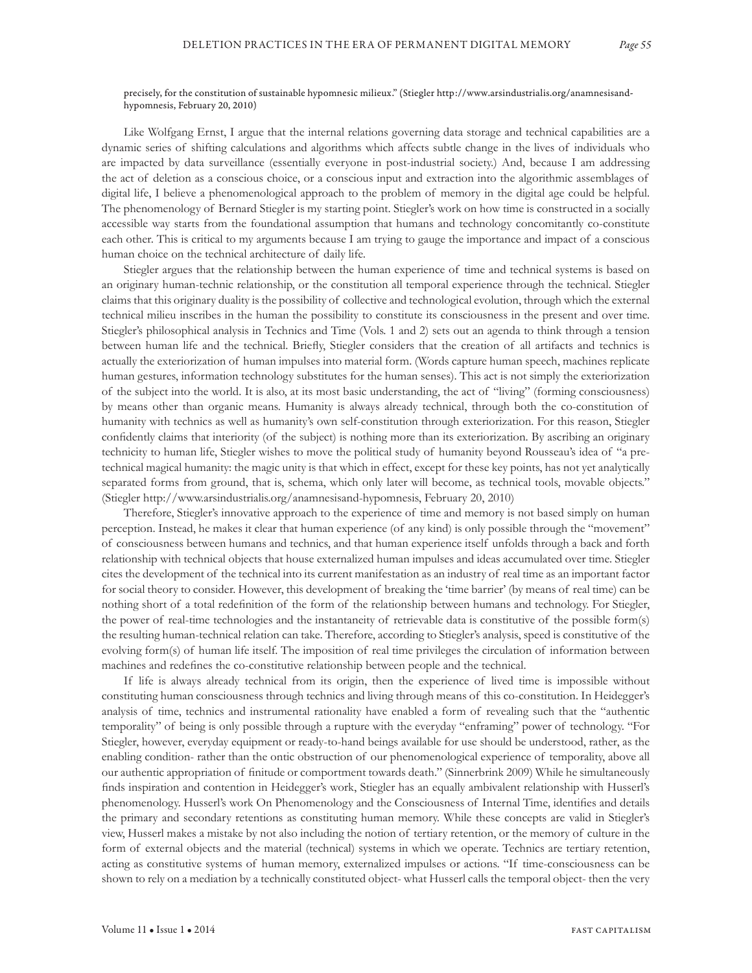#### precisely, for the constitution of sustainable hypomnesic milieux." (Stiegler http://www.arsindustrialis.org/anamnesisandhypomnesis, February 20, 2010)

Like Wolfgang Ernst, I argue that the internal relations governing data storage and technical capabilities are a dynamic series of shifting calculations and algorithms which affects subtle change in the lives of individuals who are impacted by data surveillance (essentially everyone in post-industrial society.) And, because I am addressing the act of deletion as a conscious choice, or a conscious input and extraction into the algorithmic assemblages of digital life, I believe a phenomenological approach to the problem of memory in the digital age could be helpful. The phenomenology of Bernard Stiegler is my starting point. Stiegler's work on how time is constructed in a socially accessible way starts from the foundational assumption that humans and technology concomitantly co-constitute each other. This is critical to my arguments because I am trying to gauge the importance and impact of a conscious human choice on the technical architecture of daily life.

Stiegler argues that the relationship between the human experience of time and technical systems is based on an originary human-technic relationship, or the constitution all temporal experience through the technical. Stiegler claims that this originary duality is the possibility of collective and technological evolution, through which the external technical milieu inscribes in the human the possibility to constitute its consciousness in the present and over time. Stiegler's philosophical analysis in Technics and Time (Vols. 1 and 2) sets out an agenda to think through a tension between human life and the technical. Briefly, Stiegler considers that the creation of all artifacts and technics is actually the exteriorization of human impulses into material form. (Words capture human speech, machines replicate human gestures, information technology substitutes for the human senses). This act is not simply the exteriorization of the subject into the world. It is also, at its most basic understanding, the act of "living" (forming consciousness) by means other than organic means. Humanity is always already technical, through both the co-constitution of humanity with technics as well as humanity's own self-constitution through exteriorization. For this reason, Stiegler confidently claims that interiority (of the subject) is nothing more than its exteriorization. By ascribing an originary technicity to human life, Stiegler wishes to move the political study of humanity beyond Rousseau's idea of "a pretechnical magical humanity: the magic unity is that which in effect, except for these key points, has not yet analytically separated forms from ground, that is, schema, which only later will become, as technical tools, movable objects." (Stiegler http://www.arsindustrialis.org/anamnesisand-hypomnesis, February 20, 2010)

Therefore, Stiegler's innovative approach to the experience of time and memory is not based simply on human perception. Instead, he makes it clear that human experience (of any kind) is only possible through the "movement" of consciousness between humans and technics, and that human experience itself unfolds through a back and forth relationship with technical objects that house externalized human impulses and ideas accumulated over time. Stiegler cites the development of the technical into its current manifestation as an industry of real time as an important factor for social theory to consider. However, this development of breaking the 'time barrier' (by means of real time) can be nothing short of a total redefinition of the form of the relationship between humans and technology. For Stiegler, the power of real-time technologies and the instantaneity of retrievable data is constitutive of the possible form(s) the resulting human-technical relation can take. Therefore, according to Stiegler's analysis, speed is constitutive of the evolving form(s) of human life itself. The imposition of real time privileges the circulation of information between machines and redefines the co-constitutive relationship between people and the technical.

If life is always already technical from its origin, then the experience of lived time is impossible without constituting human consciousness through technics and living through means of this co-constitution. In Heidegger's analysis of time, technics and instrumental rationality have enabled a form of revealing such that the "authentic temporality" of being is only possible through a rupture with the everyday "enframing" power of technology. "For Stiegler, however, everyday equipment or ready-to-hand beings available for use should be understood, rather, as the enabling condition- rather than the ontic obstruction of our phenomenological experience of temporality, above all our authentic appropriation of finitude or comportment towards death." (Sinnerbrink 2009) While he simultaneously finds inspiration and contention in Heidegger's work, Stiegler has an equally ambivalent relationship with Husserl's phenomenology. Husserl's work On Phenomenology and the Consciousness of Internal Time, identifies and details the primary and secondary retentions as constituting human memory. While these concepts are valid in Stiegler's view, Husserl makes a mistake by not also including the notion of tertiary retention, or the memory of culture in the form of external objects and the material (technical) systems in which we operate. Technics are tertiary retention, acting as constitutive systems of human memory, externalized impulses or actions. "If time-consciousness can be shown to rely on a mediation by a technically constituted object- what Husserl calls the temporal object- then the very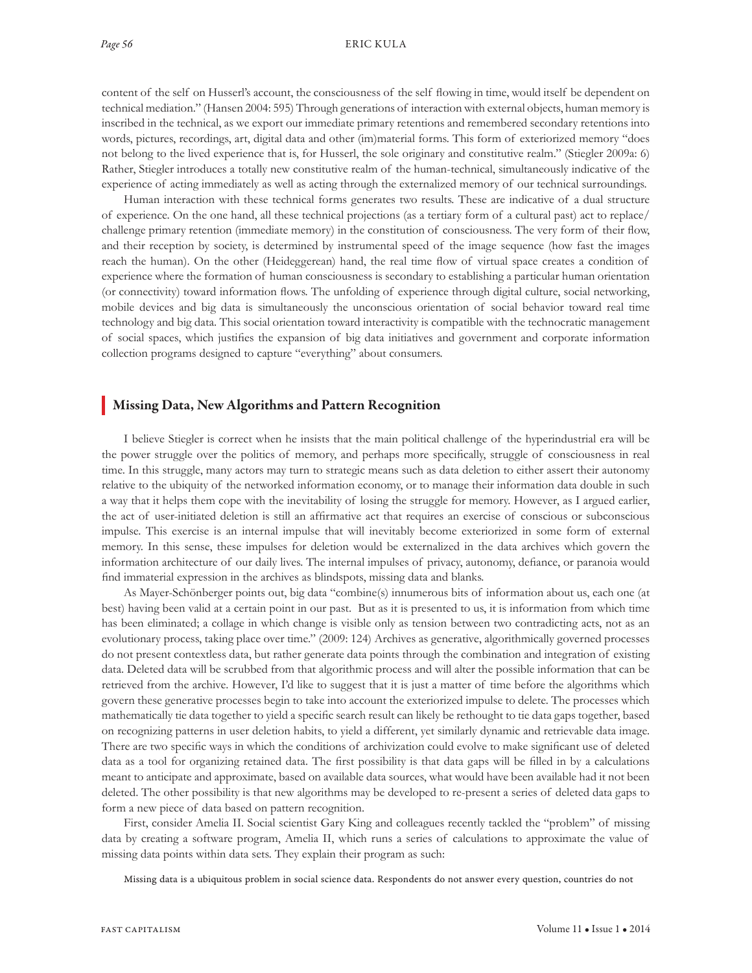content of the self on Husserl's account, the consciousness of the self flowing in time, would itself be dependent on technical mediation." (Hansen 2004: 595) Through generations of interaction with external objects, human memory is inscribed in the technical, as we export our immediate primary retentions and remembered secondary retentions into words, pictures, recordings, art, digital data and other (im)material forms. This form of exteriorized memory "does not belong to the lived experience that is, for Husserl, the sole originary and constitutive realm." (Stiegler 2009a: 6) Rather, Stiegler introduces a totally new constitutive realm of the human-technical, simultaneously indicative of the experience of acting immediately as well as acting through the externalized memory of our technical surroundings.

Human interaction with these technical forms generates two results. These are indicative of a dual structure of experience. On the one hand, all these technical projections (as a tertiary form of a cultural past) act to replace/ challenge primary retention (immediate memory) in the constitution of consciousness. The very form of their flow, and their reception by society, is determined by instrumental speed of the image sequence (how fast the images reach the human). On the other (Heideggerean) hand, the real time flow of virtual space creates a condition of experience where the formation of human consciousness is secondary to establishing a particular human orientation (or connectivity) toward information flows. The unfolding of experience through digital culture, social networking, mobile devices and big data is simultaneously the unconscious orientation of social behavior toward real time technology and big data. This social orientation toward interactivity is compatible with the technocratic management of social spaces, which justifies the expansion of big data initiatives and government and corporate information collection programs designed to capture "everything" about consumers.

#### Missing Data, New Algorithms and Pattern Recognition

I believe Stiegler is correct when he insists that the main political challenge of the hyperindustrial era will be the power struggle over the politics of memory, and perhaps more specifically, struggle of consciousness in real time. In this struggle, many actors may turn to strategic means such as data deletion to either assert their autonomy relative to the ubiquity of the networked information economy, or to manage their information data double in such a way that it helps them cope with the inevitability of losing the struggle for memory. However, as I argued earlier, the act of user-initiated deletion is still an affirmative act that requires an exercise of conscious or subconscious impulse. This exercise is an internal impulse that will inevitably become exteriorized in some form of external memory. In this sense, these impulses for deletion would be externalized in the data archives which govern the information architecture of our daily lives. The internal impulses of privacy, autonomy, defiance, or paranoia would find immaterial expression in the archives as blindspots, missing data and blanks.

As Mayer-Schönberger points out, big data "combine(s) innumerous bits of information about us, each one (at best) having been valid at a certain point in our past. But as it is presented to us, it is information from which time has been eliminated; a collage in which change is visible only as tension between two contradicting acts, not as an evolutionary process, taking place over time." (2009: 124) Archives as generative, algorithmically governed processes do not present contextless data, but rather generate data points through the combination and integration of existing data. Deleted data will be scrubbed from that algorithmic process and will alter the possible information that can be retrieved from the archive. However, I'd like to suggest that it is just a matter of time before the algorithms which govern these generative processes begin to take into account the exteriorized impulse to delete. The processes which mathematically tie data together to yield a specific search result can likely be rethought to tie data gaps together, based on recognizing patterns in user deletion habits, to yield a different, yet similarly dynamic and retrievable data image. There are two specific ways in which the conditions of archivization could evolve to make significant use of deleted data as a tool for organizing retained data. The first possibility is that data gaps will be filled in by a calculations meant to anticipate and approximate, based on available data sources, what would have been available had it not been deleted. The other possibility is that new algorithms may be developed to re-present a series of deleted data gaps to form a new piece of data based on pattern recognition.

First, consider Amelia II. Social scientist Gary King and colleagues recently tackled the "problem" of missing data by creating a software program, Amelia II, which runs a series of calculations to approximate the value of missing data points within data sets. They explain their program as such:

Missing data is a ubiquitous problem in social science data. Respondents do not answer every question, countries do not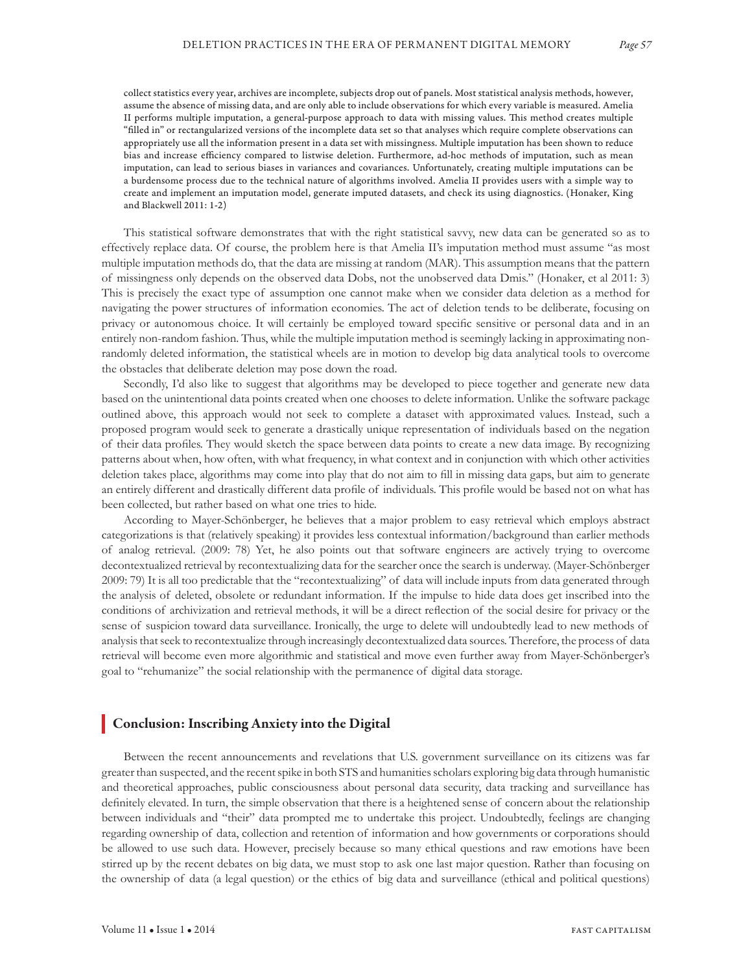collect statistics every year, archives are incomplete, subjects drop out of panels. Most statistical analysis methods, however, assume the absence of missing data, and are only able to include observations for which every variable is measured. Amelia II performs multiple imputation, a general-purpose approach to data with missing values. This method creates multiple "filled in" or rectangularized versions of the incomplete data set so that analyses which require complete observations can appropriately use all the information present in a data set with missingness. Multiple imputation has been shown to reduce bias and increase efficiency compared to listwise deletion. Furthermore, ad-hoc methods of imputation, such as mean imputation, can lead to serious biases in variances and covariances. Unfortunately, creating multiple imputations can be a burdensome process due to the technical nature of algorithms involved. Amelia II provides users with a simple way to create and implement an imputation model, generate imputed datasets, and check its using diagnostics. (Honaker, King and Blackwell 2011: 1-2)

This statistical software demonstrates that with the right statistical savvy, new data can be generated so as to effectively replace data. Of course, the problem here is that Amelia II's imputation method must assume "as most multiple imputation methods do, that the data are missing at random (MAR). This assumption means that the pattern of missingness only depends on the observed data Dobs, not the unobserved data Dmis." (Honaker, et al 2011: 3) This is precisely the exact type of assumption one cannot make when we consider data deletion as a method for navigating the power structures of information economies. The act of deletion tends to be deliberate, focusing on privacy or autonomous choice. It will certainly be employed toward specific sensitive or personal data and in an entirely non-random fashion. Thus, while the multiple imputation method is seemingly lacking in approximating nonrandomly deleted information, the statistical wheels are in motion to develop big data analytical tools to overcome the obstacles that deliberate deletion may pose down the road.

Secondly, I'd also like to suggest that algorithms may be developed to piece together and generate new data based on the unintentional data points created when one chooses to delete information. Unlike the software package outlined above, this approach would not seek to complete a dataset with approximated values. Instead, such a proposed program would seek to generate a drastically unique representation of individuals based on the negation of their data profiles. They would sketch the space between data points to create a new data image. By recognizing patterns about when, how often, with what frequency, in what context and in conjunction with which other activities deletion takes place, algorithms may come into play that do not aim to fill in missing data gaps, but aim to generate an entirely different and drastically different data profile of individuals. This profile would be based not on what has been collected, but rather based on what one tries to hide.

According to Mayer-Schönberger, he believes that a major problem to easy retrieval which employs abstract categorizations is that (relatively speaking) it provides less contextual information/background than earlier methods of analog retrieval. (2009: 78) Yet, he also points out that software engineers are actively trying to overcome decontextualized retrieval by recontextualizing data for the searcher once the search is underway. (Mayer-Schönberger 2009: 79) It is all too predictable that the "recontextualizing" of data will include inputs from data generated through the analysis of deleted, obsolete or redundant information. If the impulse to hide data does get inscribed into the conditions of archivization and retrieval methods, it will be a direct reflection of the social desire for privacy or the sense of suspicion toward data surveillance. Ironically, the urge to delete will undoubtedly lead to new methods of analysis that seek to recontextualize through increasingly decontextualized data sources. Therefore, the process of data retrieval will become even more algorithmic and statistical and move even further away from Mayer-Schönberger's goal to "rehumanize" the social relationship with the permanence of digital data storage.

#### Conclusion: Inscribing Anxiety into the Digital

Between the recent announcements and revelations that U.S. government surveillance on its citizens was far greater than suspected, and the recent spike in both STS and humanities scholars exploring big data through humanistic and theoretical approaches, public consciousness about personal data security, data tracking and surveillance has definitely elevated. In turn, the simple observation that there is a heightened sense of concern about the relationship between individuals and "their" data prompted me to undertake this project. Undoubtedly, feelings are changing regarding ownership of data, collection and retention of information and how governments or corporations should be allowed to use such data. However, precisely because so many ethical questions and raw emotions have been stirred up by the recent debates on big data, we must stop to ask one last major question. Rather than focusing on the ownership of data (a legal question) or the ethics of big data and surveillance (ethical and political questions)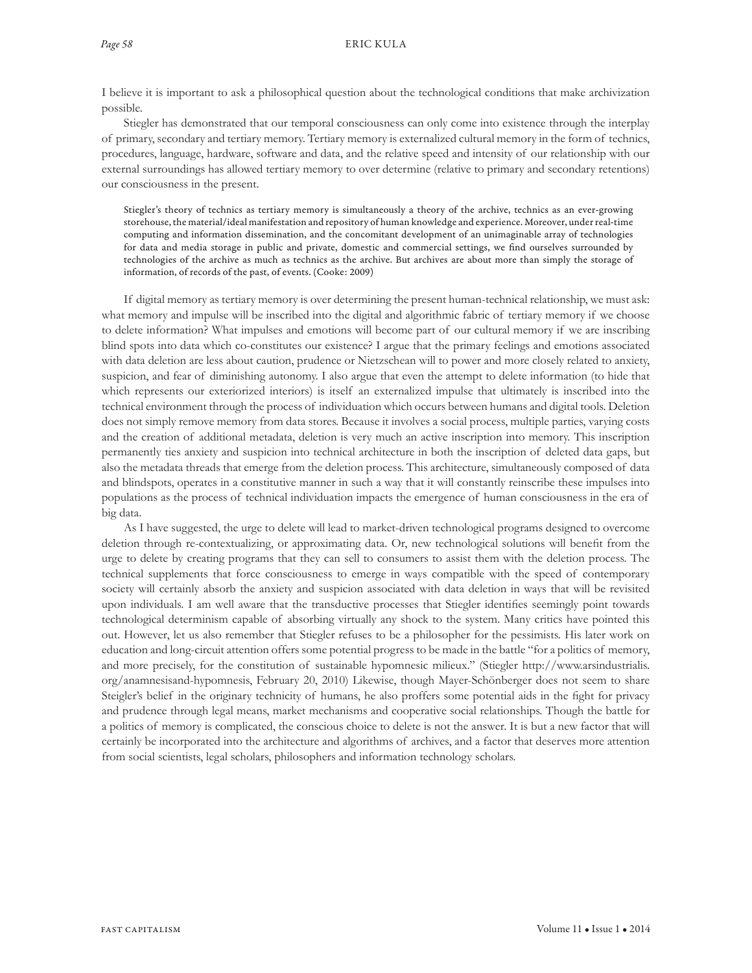I believe it is important to ask a philosophical question about the technological conditions that make archivization possible.

Stiegler has demonstrated that our temporal consciousness can only come into existence through the interplay of primary, secondary and tertiary memory. Tertiary memory is externalized cultural memory in the form of technics, procedures, language, hardware, software and data, and the relative speed and intensity of our relationship with our external surroundings has allowed tertiary memory to over determine (relative to primary and secondary retentions) our consciousness in the present.

Stiegler's theory of technics as tertiary memory is simultaneously a theory of the archive, technics as an ever-growing storehouse, the material/ideal manifestation and repository of human knowledge and experience. Moreover, under real-time computing and information dissemination, and the concomitant development of an unimaginable array of technologies for data and media storage in public and private, domestic and commercial settings, we find ourselves surrounded by technologies of the archive as much as technics as the archive. But archives are about more than simply the storage of information, of records of the past, of events. (Cooke: 2009)

If digital memory as tertiary memory is over determining the present human-technical relationship, we must ask: what memory and impulse will be inscribed into the digital and algorithmic fabric of tertiary memory if we choose to delete information? What impulses and emotions will become part of our cultural memory if we are inscribing blind spots into data which co-constitutes our existence? I argue that the primary feelings and emotions associated with data deletion are less about caution, prudence or Nietzschean will to power and more closely related to anxiety, suspicion, and fear of diminishing autonomy. I also argue that even the attempt to delete information (to hide that which represents our exteriorized interiors) is itself an externalized impulse that ultimately is inscribed into the technical environment through the process of individuation which occurs between humans and digital tools. Deletion does not simply remove memory from data stores. Because it involves a social process, multiple parties, varying costs and the creation of additional metadata, deletion is very much an active inscription into memory. This inscription permanently ties anxiety and suspicion into technical architecture in both the inscription of deleted data gaps, but also the metadata threads that emerge from the deletion process. This architecture, simultaneously composed of data and blindspots, operates in a constitutive manner in such a way that it will constantly reinscribe these impulses into populations as the process of technical individuation impacts the emergence of human consciousness in the era of big data.

As I have suggested, the urge to delete will lead to market-driven technological programs designed to overcome deletion through re-contextualizing, or approximating data. Or, new technological solutions will benefit from the urge to delete by creating programs that they can sell to consumers to assist them with the deletion process. The technical supplements that force consciousness to emerge in ways compatible with the speed of contemporary society will certainly absorb the anxiety and suspicion associated with data deletion in ways that will be revisited upon individuals. I am well aware that the transductive processes that Stiegler identifies seemingly point towards technological determinism capable of absorbing virtually any shock to the system. Many critics have pointed this out. However, let us also remember that Stiegler refuses to be a philosopher for the pessimists. His later work on education and long-circuit attention offers some potential progress to be made in the battle "for a politics of memory, and more precisely, for the constitution of sustainable hypomnesic milieux." (Stiegler http://www.arsindustrialis. org/anamnesisand-hypomnesis, February 20, 2010) Likewise, though Mayer-Schönberger does not seem to share Steigler's belief in the originary technicity of humans, he also proffers some potential aids in the fight for privacy and prudence through legal means, market mechanisms and cooperative social relationships. Though the battle for a politics of memory is complicated, the conscious choice to delete is not the answer. It is but a new factor that will certainly be incorporated into the architecture and algorithms of archives, and a factor that deserves more attention from social scientists, legal scholars, philosophers and information technology scholars.